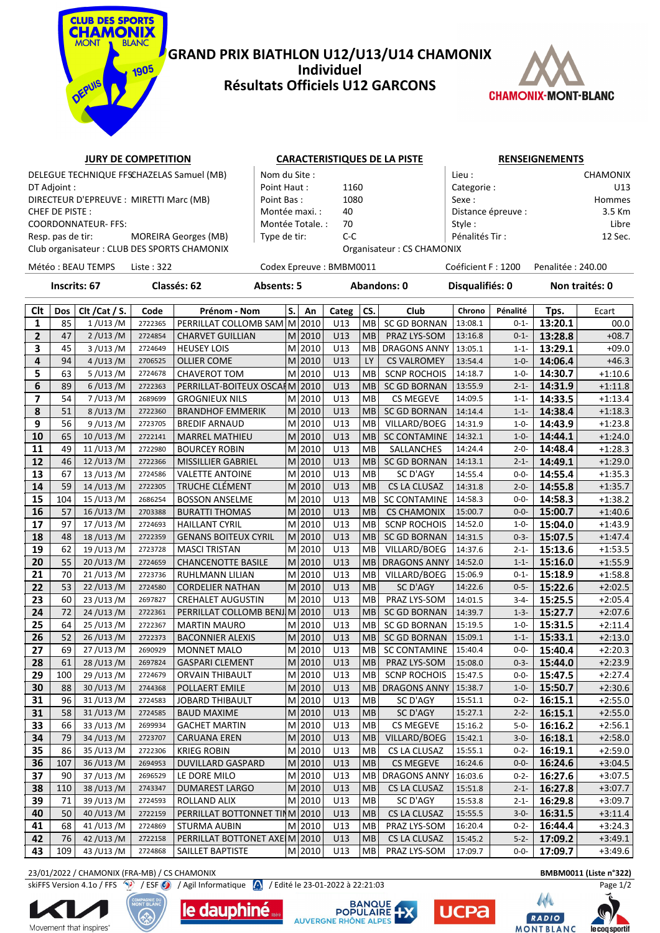

### **GRAND PRIX BIATHLON U12/U13/U14 CHAMONIX Individuel Résultats Officiels U12 GARCONS**



## **JURY DE COMPETITION CARACTERISTIQUES DE LA PISTE RENSEIGNEMENTS**

DT Adjoint : Point Haut : 1160 Categorie : U13 DIRECTEUR D'EPREUVE : MIRETTI Marc (MB) Point Bas : 1080 Sexe : Hommes CHEF DE PISTE : SALL SOLUTION CHEF DE PISTE : SALL SOLUTION OF SALL SOLUTION OF MONTÉE MAXI. : 40 | Distance épreuve : 3.5 Km COORDONNATEUR- FFS: Libre | Montée Totale. : 70 Style : Style : Libre | Style : Libre | Libre | Style : Libre | Libre | Libre | Style : Libre | Libre | Libre | Libre | Libre | Libre | Libre | Libre | Libre | Libre | Libre Resp. pas de tir: MOREIRA Georges (MB) Type de tir: C-C Pénalités Tir : 12 Sec.

|                     | DELEGUE TECHNIQUE FFSCHAZELAS Samuel (MB)    | Nom du Site :    |                            | Lieu :             | <b>CHAMONIX</b> |
|---------------------|----------------------------------------------|------------------|----------------------------|--------------------|-----------------|
| DT Adjoint :        |                                              | Point Haut:      | 1160                       | Categorie:         | U13             |
|                     | DIRECTEUR D'EPREUVE : MIRETTI Marc (MB)      | Point Bas:       | 1080                       | Sexe :             | Hommes          |
| CHEF DE PISTE :     |                                              | Montée maxi. :   | 40                         | Distance épreuve : | 3.5 Km          |
| COORDONNATEUR- FFS: |                                              | Montée Totale. : | 70                         | Style :            | Libre           |
| Resp. pas de tir:   | MOREIRA Georges (MB)                         | Type de tir:     | C-C                        | Pénalités Tir:     | 12 Sec.         |
|                     | Club organisateur : CLUB DES SPORTS CHAMONIX |                  | Organisateur · CS CHAMONIX |                    |                 |

Club organisateur : CLUB DES SPORTS CHAMONIX **CHAMONIX** Organisateur : CS CHAMONIX

Météo : BEAU TEMPS Liste : 322 Codex Epreuve : BMBM0011 Coéficient F : 1200 Penalitée : 240.00

**Inscrits: 67 Classés: 62 Absents: 5 Abandons: 0 Disqualifiés: 0 Non traités: 0**

| Clt            | Dos | Clt / Cat / S. | Code    | Prénom - Nom                   | S. | An         | Categ | CS.       | Club                | Chrono  | Pénalité  | Tps.    | Ecart     |
|----------------|-----|----------------|---------|--------------------------------|----|------------|-------|-----------|---------------------|---------|-----------|---------|-----------|
| 1              | 85  | 1/U13/M        | 2722365 | PERRILLAT COLLOMB SAM          |    | M 2010     | U13   | MВ        | <b>SC GD BORNAN</b> | 13:08.1 | $0 - 1 -$ | 13:20.1 | 00.0      |
| $\overline{2}$ | 47  | 2 / U13 / M    | 2724854 | <b>CHARVET GUILLIAN</b>        |    | $M$  2010  | U13   | <b>MB</b> | PRAZ LYS-SOM        | 13:16.8 | $0 - 1 -$ | 13:28.8 | $+08.7$   |
| 3              | 45  | 3 / U13 / M    | 2724649 | <b>HEUSEY LOIS</b>             |    | M 2010     | U13   | MВ        | <b>DRAGONS ANNY</b> | 13:05.1 | $1 - 1 -$ | 13:29.1 | $+09.0$   |
| 4              | 94  | 4 / U13 / M    | 2706525 | <b>OLLIER COME</b>             |    | $M$   2010 | U13   | LY        | <b>CS VALROMEY</b>  | 13:54.4 | $1 - 0 -$ | 14:06.4 | $+46.3$   |
| 5              | 63  | 5/U13/M        | 2724678 | <b>CHAVEROT TOM</b>            |    | M 2010     | U13   | MB        | <b>SCNP ROCHOIS</b> | 14:18.7 | $1 - 0 -$ | 14:30.7 | $+1:10.6$ |
| 6              | 89  | 6/U13/M        | 2722363 | PERRILLAT-BOITEUX OSCARM 2010  |    |            | U13   | <b>MB</b> | <b>SC GD BORNAN</b> | 13:55.9 | $2 - 1 -$ | 14:31.9 | $+1:11.8$ |
| 7              | 54  | 7/U13/M        | 2689699 | <b>GROGNIEUX NILS</b>          |    | M 2010     | U13   | <b>MB</b> | <b>CS MEGEVE</b>    | 14:09.5 | $1 - 1 -$ | 14:33.5 | $+1:13.4$ |
| 8              | 51  | 8/U13/M        | 2722360 | <b>BRANDHOF EMMERIK</b>        |    | M 2010     | U13   | <b>MB</b> | <b>SC GD BORNAN</b> | 14:14.4 | $1 - 1 -$ | 14:38.4 | $+1:18.3$ |
| 9              | 56  | 9/U13/M        | 2723705 | <b>BREDIF ARNAUD</b>           |    | M 2010     | U13   | <b>MB</b> | VILLARD/BOEG        | 14:31.9 | $1 - 0 -$ | 14:43.9 | $+1:23.8$ |
| 10             | 65  | 10/U13/M       | 2722141 | <b>MARREL MATHIEU</b>          |    | $M$  2010  | U13   | MB        | <b>SC CONTAMINE</b> | 14:32.1 | $1 - 0 -$ | 14:44.1 | $+1:24.0$ |
| 11             | 49  | 11/U13/M       | 2722980 | <b>BOURCEY ROBIN</b>           |    | M 2010     | U13   | MB        | SALLANCHES          | 14:24.4 | $2 - 0 -$ | 14:48.4 | $+1:28.3$ |
| 12             | 46  | 12/U13/M       | 2722366 | MISSILLIER GABRIEL             |    | M 2010     | U13   | MB        | <b>SC GD BORNAN</b> | 14:13.1 | $2 - 1 -$ | 14:49.1 | $+1:29.0$ |
| 13             | 67  | 13/U13/M       | 2724586 | <b>VALETTE ANTOINE</b>         |    | M 2010     | U13   | MB        | SC D'AGY            | 14:55.4 | $0 - 0 -$ | 14:55.4 | $+1:35.3$ |
| 14             | 59  | 14/U13/M       | 2722305 | TRUCHE CLÉMENT                 |    | $M$ 2010   | U13   | <b>MB</b> | CS LA CLUSAZ        | 14:31.8 | $2 - 0 -$ | 14:55.8 | $+1:35.7$ |
| 15             | 104 | 15/U13/M       | 2686254 | <b>BOSSON ANSELME</b>          |    | M 2010     | U13   | MB        | <b>SC CONTAMINE</b> | 14:58.3 | $0 - 0 -$ | 14:58.3 | $+1:38.2$ |
| 16             | 57  | 16/U13/M       | 2703388 | <b>BURATTI THOMAS</b>          |    | $M$  2010  | U13   | <b>MB</b> | <b>CS CHAMONIX</b>  | 15:00.7 | $0 - 0 -$ | 15:00.7 | $+1:40.6$ |
| 17             | 97  | 17/U13/M       | 2724693 | <b>HAILLANT CYRIL</b>          |    | M 2010     | U13   | MB        | <b>SCNP ROCHOIS</b> | 14:52.0 | $1 - 0 -$ | 15:04.0 | $+1:43.9$ |
| 18             | 48  | 18/U13/M       | 2722359 | <b>GENANS BOITEUX CYRIL</b>    |    | M 2010     | U13   | <b>MB</b> | <b>SC GD BORNAN</b> | 14:31.5 | $0 - 3 -$ | 15:07.5 | $+1:47.4$ |
| 19             | 62  | 19/U13/M       | 2723728 | <b>MASCI TRISTAN</b>           |    | M 2010     | U13   | <b>MB</b> | VILLARD/BOEG        | 14:37.6 | $2 - 1 -$ | 15:13.6 | $+1:53.5$ |
| 20             | 55  | 20/U13/M       | 2724659 | <b>CHANCENOTTE BASILE</b>      |    | $M$  2010  | U13   | <b>MB</b> | <b>DRAGONS ANNY</b> | 14:52.0 | $1 - 1 -$ | 15:16.0 | $+1:55.9$ |
| 21             | 70  | 21/U13/M       | 2723736 | RUHLMANN LILIAN                |    | M 2010     | U13   | <b>MB</b> | VILLARD/BOEG        | 15:06.9 | $0 - 1 -$ | 15:18.9 | $+1:58.8$ |
| 22             | 53  | 22/U13/M       | 2724580 | <b>CORDELIER NATHAN</b>        |    | $M$  2010  | U13   | <b>MB</b> | SC D'AGY            | 14:22.6 | $0 - 5 -$ | 15:22.6 | $+2:02.5$ |
| 23             | 60  | 23/U13/M       | 2697827 | <b>CREHALET AUGUSTIN</b>       |    | M 2010     | U13   | MВ        | PRAZ LYS-SOM        | 14:01.5 | $3 - 4 -$ | 15:25.5 | $+2:05.4$ |
| 24             | 72  | 24/U13/M       | 2722361 | PERRILLAT COLLOMB BENJM 2010   |    |            | U13   | <b>MB</b> | <b>SC GD BORNAN</b> | 14:39.7 | $1 - 3 -$ | 15:27.7 | $+2:07.6$ |
| 25             | 64  | 25/U13/M       | 2722367 | <b>MARTIN MAURO</b>            |    | M 2010     | U13   | MВ        | SC GD BORNAN        | 15:19.5 | $1 - 0 -$ | 15:31.5 | $+2:11.4$ |
| 26             | 52  | 26/U13/M       | 2722373 | <b>BACONNIER ALEXIS</b>        |    | M 2010     | U13   | <b>MB</b> | SC GD BORNAN        | 15:09.1 | $1 - 1 -$ | 15:33.1 | $+2:13.0$ |
| 27             | 69  | 27/U13/M       | 2690929 | <b>MONNET MALO</b>             |    | M 2010     | U13   | MВ        | <b>SC CONTAMINE</b> | 15:40.4 | $0 - 0 -$ | 15:40.4 | $+2:20.3$ |
| 28             | 61  | 28/U13/M       | 2697824 | <b>GASPARI CLEMENT</b>         |    | M 2010     | U13   | MB        | PRAZ LYS-SOM        | 15:08.0 | $0 - 3 -$ | 15:44.0 | $+2:23.9$ |
| 29             | 100 | 29/U13/M       | 2724679 | ORVAIN THIBAULT                |    | M 2010     | U13   | MВ        | <b>SCNP ROCHOIS</b> | 15:47.5 | $0 - 0 -$ | 15:47.5 | $+2:27.4$ |
| 30             | 88  | 30/U13/M       | 2744368 | POLLAERT EMILE                 |    | M 2010     | U13   | <b>MB</b> | <b>DRAGONS ANNY</b> | 15:38.7 | $1 - 0 -$ | 15:50.7 | $+2:30.6$ |
| 31             | 96  | 31/U13/M       | 2724583 | <b>JOBARD THIBAULT</b>         |    | M 2010     | U13   | <b>MB</b> | SC D'AGY            | 15:51.1 | $0 - 2 -$ | 16:15.1 | $+2:55.0$ |
| 31             | 58  | 31/U13/M       | 2724585 | <b>BAUD MAXIME</b>             |    | M 2010     | U13   | <b>MB</b> | SC D'AGY            | 15:27.1 | $2 - 2 -$ | 16:15.1 | $+2:55.0$ |
| 33             | 66  | 33/U13/M       | 2699934 | <b>GACHET MARTIN</b>           |    | M 2010     | U13   | <b>MB</b> | <b>CS MEGEVE</b>    | 15:16.2 | $5 - 0 -$ | 16:16.2 | $+2:56.1$ |
| 34             | 79  | 34/U13/M       | 2723707 | <b>CARUANA EREN</b>            |    | $M$  2010  | U13   | <b>MB</b> | VILLARD/BOEG        | 15:42.1 | $3 - 0 -$ | 16:18.1 | $+2:58.0$ |
| 35             | 86  | 35/U13/M       | 2722306 | <b>KRIEG ROBIN</b>             |    | M 2010     | U13   | MВ        | CS LA CLUSAZ        | 15:55.1 | $0 - 2 -$ | 16:19.1 | $+2:59.0$ |
| 36             | 107 | 36/U13/M       | 2694953 | <b>DUVILLARD GASPARD</b>       |    | $M$  2010  | U13   | <b>MB</b> | CS MEGEVE           | 16:24.6 | $0 - 0 -$ | 16:24.6 | $+3:04.5$ |
| 37             | 90  | 37/U13/M       | 2696529 | LE DORE MILO                   |    | M 2010     | U13   | MВ        | <b>DRAGONS ANNY</b> | 16:03.6 | $0 - 2 -$ | 16:27.6 | $+3:07.5$ |
| 38             | 110 | 38/U13/M       | 2743347 | <b>DUMAREST LARGO</b>          |    | M 2010     | U13   | <b>MB</b> | CS LA CLUSAZ        | 15:51.8 | $2 - 1 -$ | 16:27.8 | $+3:07.7$ |
| 39             | 71  | 39/U13/M       | 2724593 | ROLLAND ALIX                   |    | M 2010     | U13   | MB        | SC D'AGY            | 15:53.8 | $2 - 1 -$ | 16:29.8 | $+3:09.7$ |
| 40             | 50  | 40/U13/M       | 2722159 | PERRILLAT BOTTONNET TINM 2010  |    |            | U13   | MB        | CS LA CLUSAZ        | 15:55.5 | $3 - 0 -$ | 16:31.5 | $+3:11.4$ |
| 41             | 68  | 41/U13/M       | 2724869 | <b>STURMA AUBIN</b>            |    | M 2010     | U13   | MB        | PRAZ LYS-SOM        | 16:20.4 | $0 - 2 -$ | 16:44.4 | $+3:24.3$ |
| 42             | 76  | 42/U13/M       | 2722158 | PERRILLAT BOTTONET AXE(M) 2010 |    |            | U13   | MB        | CS LA CLUSAZ        | 15:45.2 | $5 - 2 -$ | 17:09.2 | $+3:49.1$ |
| 43             | 109 | 43/U13/M       | 2724868 | SAILLET BAPTISTE               |    | M 2010     | U13   | MB        | PRAZ LYS-SOM        | 17:09.7 | $0 - 0 -$ | 17:09.7 | $+3:49.6$ |

23/01/2022 / CHAMONIX (FRA-MB) / CS CHAMONIX **BMBM0011 (Liste n°322)**

skiFFS Version 4.1o / FFS / / ESF / / Agil Informatique / / Edité le 23-01-2022 à 22:21:03 Page 1/2